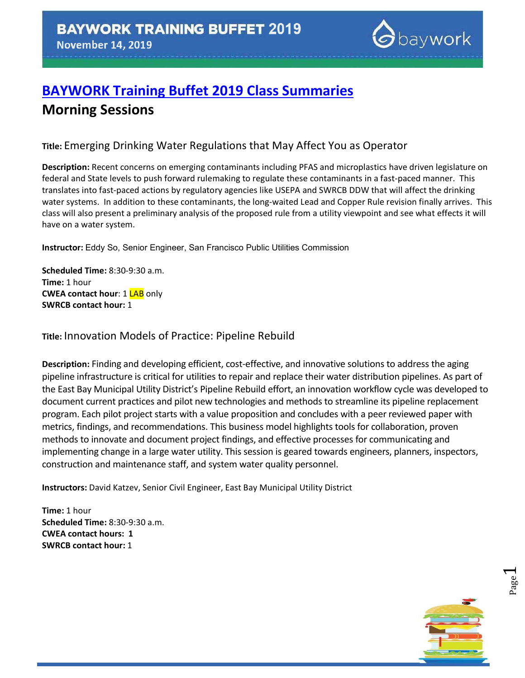

# **[BAYWORK Training Buffet 2019](https://www.eventbrite.com/e/baywork-training-buffet-2019-tickets-76488977591) Class Summaries Morning Sessions**

## **Title:** Emerging Drinking Water Regulations that May Affect You as Operator

**Description:** Recent concerns on emerging contaminants including PFAS and microplastics have driven legislature on federal and State levels to push forward rulemaking to regulate these contaminants in a fast-paced manner. This translates into fast-paced actions by regulatory agencies like USEPA and SWRCB DDW that will affect the drinking water systems. In addition to these contaminants, the long-waited Lead and Copper Rule revision finally arrives. This class will also present a preliminary analysis of the proposed rule from a utility viewpoint and see what effects it will have on a water system.

**Instructor:** Eddy So, Senior Engineer, San Francisco Public Utilities Commission

**Scheduled Time:** 8:30-9:30 a.m. **Time:** 1 hour **CWEA contact hour: 1 LAB only SWRCB contact hour:** 1

**Title:** Innovation Models of Practice: Pipeline Rebuild

**Description:** Finding and developing efficient, cost-effective, and innovative solutions to address the aging pipeline infrastructure is critical for utilities to repair and replace their water distribution pipelines. As part of the East Bay Municipal Utility District's Pipeline Rebuild effort, an innovation workflow cycle was developed to document current practices and pilot new technologies and methods to streamline its pipeline replacement program. Each pilot project starts with a value proposition and concludes with a peer reviewed paper with metrics, findings, and recommendations. This business model highlights tools for collaboration, proven methods to innovate and document project findings, and effective processes for communicating and implementing change in a large water utility. This session is geared towards engineers, planners, inspectors, construction and maintenance staff, and system water quality personnel.

**Instructors:** David Katzev, Senior Civil Engineer, East Bay Municipal Utility District

**Time:** 1 hour **Scheduled Time:** 8:30-9:30 a.m. **CWEA contact hours: 1 SWRCB contact hour:** 1

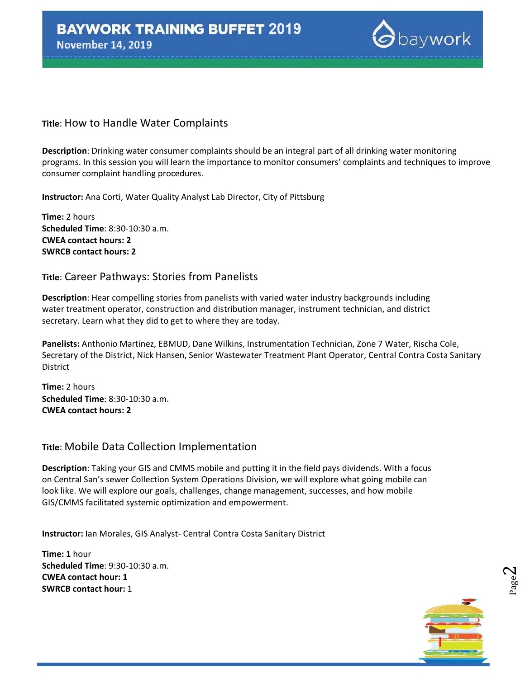

#### **Title**: How to Handle Water Complaints

**Description**: Drinking water consumer complaints should be an integral part of all drinking water monitoring programs. In this session you will learn the importance to monitor consumers' complaints and techniques to improve consumer complaint handling procedures.

**Instructor:** Ana Corti, Water Quality Analyst Lab Director, City of Pittsburg

**Time:** 2 hours **Scheduled Time**: 8:30-10:30 a.m. **CWEA contact hours: 2 SWRCB contact hours: 2**

#### **Title**: Career Pathways: Stories from Panelists

**Description**: Hear compelling stories from panelists with varied water industry backgrounds including water treatment operator, construction and distribution manager, instrument technician, and district secretary. Learn what they did to get to where they are today.

**Panelists:** Anthonio Martinez, EBMUD, Dane Wilkins, Instrumentation Technician, Zone 7 Water, Rischa Cole, Secretary of the District, Nick Hansen, Senior Wastewater Treatment Plant Operator, Central Contra Costa Sanitary **District** 

**Time:** 2 hours **Scheduled Time**: 8:30-10:30 a.m. **CWEA contact hours: 2**

#### **Title**: Mobile Data Collection Implementation

**Description**: Taking your GIS and CMMS mobile and putting it in the field pays dividends. With a focus on Central San's sewer Collection System Operations Division, we will explore what going mobile can look like. We will explore our goals, challenges, change management, successes, and how mobile GIS/CMMS facilitated systemic optimization and empowerment.

**Instructor:** Ian Morales, GIS Analyst- Central Contra Costa Sanitary District

**Time: 1** hour **Scheduled Time**: 9:30-10:30 a.m. **CWEA contact hour: 1 SWRCB contact hour:** 1



Page  $\mathrel{\sim}$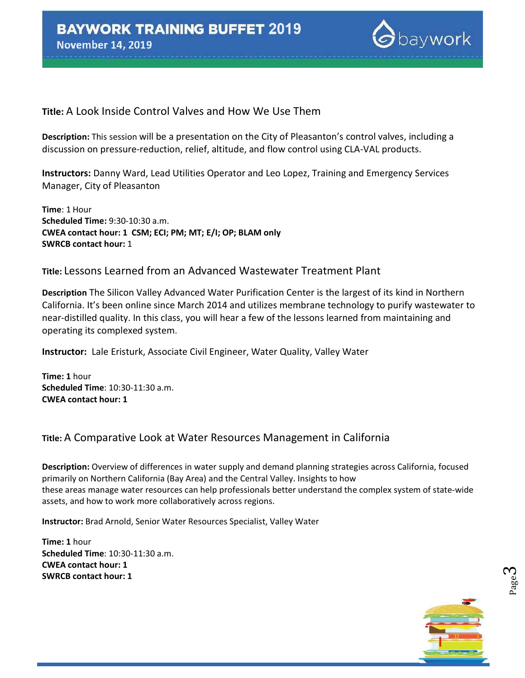

#### **Title:** A Look Inside Control Valves and How We Use Them

**Description:** This session will be a presentation on the City of Pleasanton's control valves, including a discussion on pressure-reduction, relief, altitude, and flow control using CLA-VAL products.

**Instructors:** Danny Ward, Lead Utilities Operator and Leo Lopez, Training and Emergency Services Manager, City of Pleasanton

**Time**: 1 Hour **Scheduled Time:** 9:30-10:30 a.m. **CWEA contact hour: 1 CSM; ECI; PM; MT; E/I; OP; BLAM only SWRCB contact hour:** 1

#### **Title:** Lessons Learned from an Advanced Wastewater Treatment Plant

**Description** The Silicon Valley Advanced Water Purification Center is the largest of its kind in Northern California. It's been online since March 2014 and utilizes membrane technology to purify wastewater to near-distilled quality. In this class, you will hear a few of the lessons learned from maintaining and operating its complexed system.

**Instructor:** Lale Eristurk, Associate Civil Engineer, Water Quality, Valley Water

**Time: 1** hour **Scheduled Time**: 10:30-11:30 a.m. **CWEA contact hour: 1**

### **Title:** A Comparative Look at Water Resources Management in California

**Description:** Overview of differences in water supply and demand planning strategies across California, focused primarily on Northern California (Bay Area) and the Central Valley. Insights to how these areas manage water resources can help professionals better understand the complex system of state-wide assets, and how to work more collaboratively across regions.

**Instructor:** Brad Arnold, Senior Water Resources Specialist, Valley Water

**Time: 1** hour **Scheduled Time**: 10:30-11:30 a.m. **CWEA contact hour: 1 SWRCB contact hour: 1**

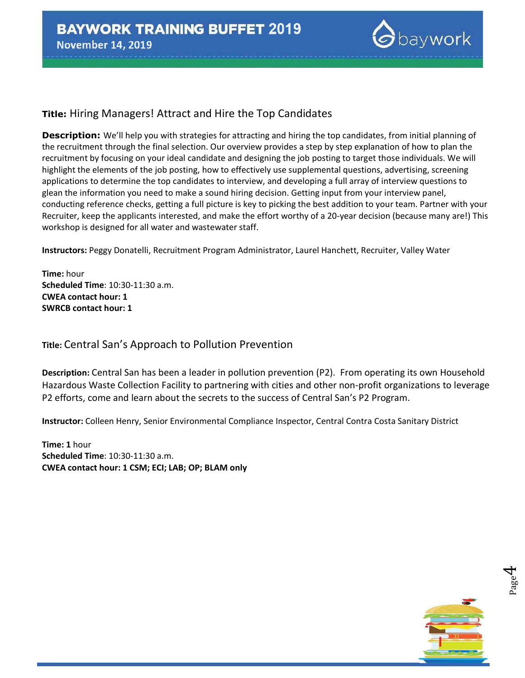

# **Title:** Hiring Managers! Attract and Hire the Top Candidates

**Description:** We'll help you with strategies for attracting and hiring the top candidates, from initial planning of the recruitment through the final selection. Our overview provides a step by step explanation of how to plan the recruitment by focusing on your ideal candidate and designing the job posting to target those individuals. We will highlight the elements of the job posting, how to effectively use supplemental questions, advertising, screening applications to determine the top candidates to interview, and developing a full array of interview questions to glean the information you need to make a sound hiring decision. Getting input from your interview panel, conducting reference checks, getting a full picture is key to picking the best addition to your team. Partner with your Recruiter, keep the applicants interested, and make the effort worthy of a 20-year decision (because many are!) This workshop is designed for all water and wastewater staff.

**Instructors:** Peggy Donatelli, Recruitment Program Administrator, Laurel Hanchett, Recruiter, Valley Water

**Time:** hour **Scheduled Time**: 10:30-11:30 a.m. **CWEA contact hour: 1 SWRCB contact hour: 1**

**Title:** Central San's Approach to Pollution Prevention

**Description:** Central San has been a leader in pollution prevention (P2). From operating its own Household Hazardous Waste Collection Facility to partnering with cities and other non-profit organizations to leverage P2 efforts, come and learn about the secrets to the success of Central San's P2 Program.

**Instructor:** Colleen Henry, Senior Environmental Compliance Inspector, Central Contra Costa Sanitary District

**Time: 1** hour **Scheduled Time**: 10:30-11:30 a.m. **CWEA contact hour: 1 CSM; ECI; LAB; OP; BLAM only**



Page 4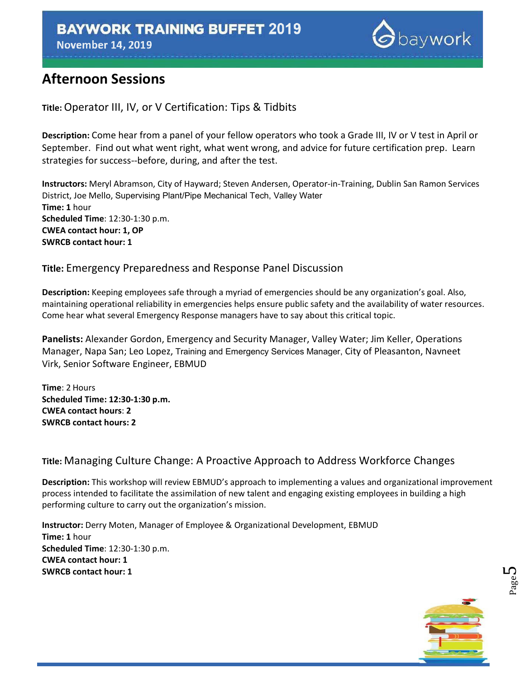**November 14, 2019** 



# **Afternoon Sessions**

**Title:** Operator III, IV, or V Certification: Tips & Tidbits

**Description:** Come hear from a panel of your fellow operators who took a Grade III, IV or V test in April or September. Find out what went right, what went wrong, and advice for future certification prep. Learn strategies for success--before, during, and after the test.

**Instructors:** Meryl Abramson, City of Hayward; Steven Andersen, Operator-in-Training, Dublin San Ramon Services District, Joe Mello, Supervising Plant/Pipe Mechanical Tech, Valley Water **Time: 1** hour **Scheduled Time**: 12:30-1:30 p.m. **CWEA contact hour: 1, OP SWRCB contact hour: 1**

### **Title:** Emergency Preparedness and Response Panel Discussion

**Description:** Keeping employees safe through a myriad of emergencies should be any organization's goal. Also, maintaining operational reliability in emergencies helps ensure public safety and the availability of water resources. Come hear what several Emergency Response managers have to say about this critical topic.

**Panelists:** Alexander Gordon, Emergency and Security Manager, Valley Water; Jim Keller, Operations Manager, Napa San; Leo Lopez, Training and Emergency Services Manager, City of Pleasanton, Navneet Virk, Senior Software Engineer, EBMUD

**Time**: 2 Hours **Scheduled Time: 12:30-1:30 p.m. CWEA contact hours**: **2 SWRCB contact hours: 2**

# **Title:** Managing Culture Change: A Proactive Approach to Address Workforce Changes

**Description:** This workshop will review EBMUD's approach to implementing a values and organizational improvement process intended to facilitate the assimilation of new talent and engaging existing employees in building a high performing culture to carry out the organization's mission.

**Instructor:** Derry Moten, Manager of Employee & Organizational Development, EBMUD **Time: 1** hour **Scheduled Time**: 12:30-1:30 p.m. **CWEA contact hour: 1 SWRCB contact hour: 1**



Page ഥ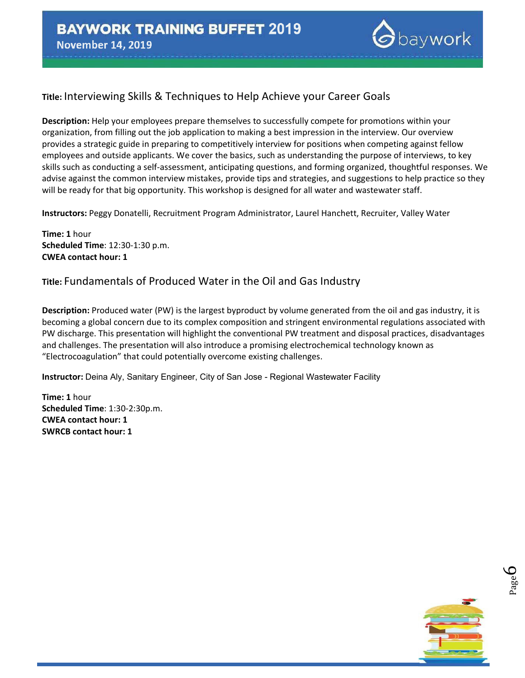

# **Title:** Interviewing Skills & Techniques to Help Achieve your Career Goals

**Description:** Help your employees prepare themselves to successfully compete for promotions within your organization, from filling out the job application to making a best impression in the interview. Our overview provides a strategic guide in preparing to competitively interview for positions when competing against fellow employees and outside applicants. We cover the basics, such as understanding the purpose of interviews, to key skills such as conducting a self-assessment, anticipating questions, and forming organized, thoughtful responses. We advise against the common interview mistakes, provide tips and strategies, and suggestions to help practice so they will be ready for that big opportunity. This workshop is designed for all water and wastewater staff.

**Instructors:** Peggy Donatelli, Recruitment Program Administrator, Laurel Hanchett, Recruiter, Valley Water

**Time: 1** hour **Scheduled Time**: 12:30-1:30 p.m. **CWEA contact hour: 1**

#### **Title:** Fundamentals of Produced Water in the Oil and Gas Industry

**Description:** Produced water (PW) is the largest byproduct by volume generated from the oil and gas industry, it is becoming a global concern due to its complex composition and stringent environmental regulations associated with PW discharge. This presentation will highlight the conventional PW treatment and disposal practices, disadvantages and challenges. The presentation will also introduce a promising electrochemical technology known as "Electrocoagulation" that could potentially overcome existing challenges.

**Instructor:** Deina Aly, Sanitary Engineer, City of San Jose - Regional Wastewater Facility

**Time: 1** hour **Scheduled Time**: 1:30-2:30p.m. **CWEA contact hour: 1 SWRCB contact hour: 1**